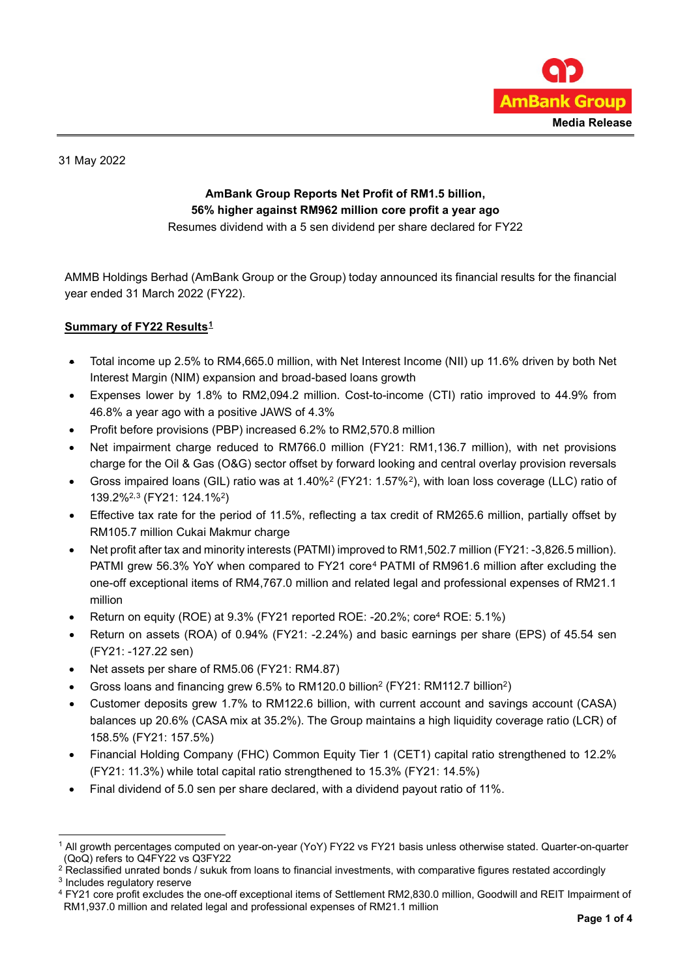

31 May 2022

# **AmBank Group Reports Net Profit of RM1.5 billion, 56% higher against RM962 million core profit a year ago**

Resumes dividend with a 5 sen dividend per share declared for FY22

AMMB Holdings Berhad (AmBank Group or the Group) today announced its financial results for the financial year ended 31 March 2022 (FY22).

# **Summary of FY22 Results[1](#page-0-0)**

- Total income up 2.5% to RM4,665.0 million, with Net Interest Income (NII) up 11.6% driven by both Net Interest Margin (NIM) expansion and broad-based loans growth
- Expenses lower by 1.8% to RM2,094.2 million. Cost-to-income (CTI) ratio improved to 44.9% from 46.8% a year ago with a positive JAWS of 4.3%
- Profit before provisions (PBP) increased 6.2% to RM2,570.8 million
- Net impairment charge reduced to RM766.0 million (FY21: RM1,136.7 million), with net provisions charge for the Oil & Gas (O&G) sector offset by forward looking and central overlay provision reversals
- Gross impaired loans (GIL) ratio was at 1.40%2 (FY21: 1.57%[2\)](#page-0-1), with loan loss coverage (LLC) ratio of 139.2%2,[3](#page-0-2) (FY21: 124.1%2)
- Effective tax rate for the period of 11.5%, reflecting a tax credit of RM265.6 million, partially offset by RM105.7 million Cukai Makmur charge
- Net profit after tax and minority interests (PATMI) improved to RM1,502.7 million (FY21: -3,826.5 million). PATMI grew 56.3% YoY when compared to FY21 core[4](#page-0-3) PATMI of RM961.6 million after excluding the one-off exceptional items of RM4,767.0 million and related legal and professional expenses of RM21.1 million
- Return on equity (ROE) at 9.3% (FY21 reported ROE: -20.2%; core4 ROE: 5.1%)
- Return on assets (ROA) of 0.94% (FY21: -2.24%) and basic earnings per share (EPS) of 45.54 sen (FY21: -127.22 sen)
- Net assets per share of RM5.06 (FY21: RM4.87)
- Gross loans and financing grew 6.5% to RM120.0 billion2 (FY21: RM112.7 billion2)
- Customer deposits grew 1.7% to RM122.6 billion, with current account and savings account (CASA) balances up 20.6% (CASA mix at 35.2%). The Group maintains a high liquidity coverage ratio (LCR) of 158.5% (FY21: 157.5%)
- Financial Holding Company (FHC) Common Equity Tier 1 (CET1) capital ratio strengthened to 12.2% (FY21: 11.3%) while total capital ratio strengthened to 15.3% (FY21: 14.5%)
- Final dividend of 5.0 sen per share declared, with a dividend payout ratio of 11%.

<span id="page-0-2"></span><sup>3</sup> Includes regulatory reserve

<span id="page-0-0"></span><sup>1</sup> All growth percentages computed on year-on-year (YoY) FY22 vs FY21 basis unless otherwise stated. Quarter-on-quarter (QoQ) refers to Q4FY22 vs Q3FY22

<span id="page-0-1"></span><sup>&</sup>lt;sup>2</sup> Reclassified unrated bonds / sukuk from loans to financial investments, with comparative figures restated accordingly

<span id="page-0-3"></span><sup>4</sup> FY21 core profit excludes the one-off exceptional items of Settlement RM2,830.0 million, Goodwill and REIT Impairment of RM1,937.0 million and related legal and professional expenses of RM21.1 million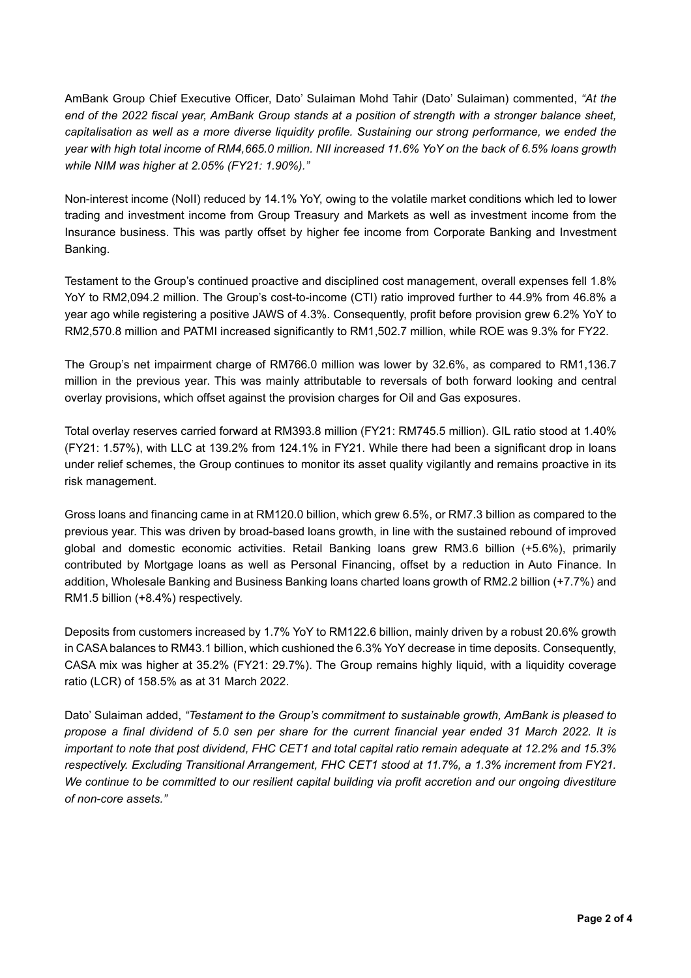AmBank Group Chief Executive Officer, Dato' Sulaiman Mohd Tahir (Dato' Sulaiman) commented, *"At the end of the 2022 fiscal year, AmBank Group stands at a position of strength with a stronger balance sheet, capitalisation as well as a more diverse liquidity profile. Sustaining our strong performance, we ended the year with high total income of RM4,665.0 million. NII increased 11.6% YoY on the back of 6.5% loans growth while NIM was higher at 2.05% (FY21: 1.90%)."*

Non-interest income (NoII) reduced by 14.1% YoY, owing to the volatile market conditions which led to lower trading and investment income from Group Treasury and Markets as well as investment income from the Insurance business. This was partly offset by higher fee income from Corporate Banking and Investment Banking.

Testament to the Group's continued proactive and disciplined cost management, overall expenses fell 1.8% YoY to RM2,094.2 million. The Group's cost-to-income (CTI) ratio improved further to 44.9% from 46.8% a year ago while registering a positive JAWS of 4.3%. Consequently, profit before provision grew 6.2% YoY to RM2,570.8 million and PATMI increased significantly to RM1,502.7 million, while ROE was 9.3% for FY22.

The Group's net impairment charge of RM766.0 million was lower by 32.6%, as compared to RM1,136.7 million in the previous year. This was mainly attributable to reversals of both forward looking and central overlay provisions, which offset against the provision charges for Oil and Gas exposures.

Total overlay reserves carried forward at RM393.8 million (FY21: RM745.5 million). GIL ratio stood at 1.40% (FY21: 1.57%), with LLC at 139.2% from 124.1% in FY21. While there had been a significant drop in loans under relief schemes, the Group continues to monitor its asset quality vigilantly and remains proactive in its risk management.

Gross loans and financing came in at RM120.0 billion, which grew 6.5%, or RM7.3 billion as compared to the previous year. This was driven by broad-based loans growth, in line with the sustained rebound of improved global and domestic economic activities. Retail Banking loans grew RM3.6 billion (+5.6%), primarily contributed by Mortgage loans as well as Personal Financing, offset by a reduction in Auto Finance. In addition, Wholesale Banking and Business Banking loans charted loans growth of RM2.2 billion (+7.7%) and RM1.5 billion (+8.4%) respectively.

Deposits from customers increased by 1.7% YoY to RM122.6 billion, mainly driven by a robust 20.6% growth in CASA balances to RM43.1 billion, which cushioned the 6.3% YoY decrease in time deposits. Consequently, CASA mix was higher at 35.2% (FY21: 29.7%). The Group remains highly liquid, with a liquidity coverage ratio (LCR) of 158.5% as at 31 March 2022.

Dato' Sulaiman added, *"Testament to the Group's commitment to sustainable growth, AmBank is pleased to propose a final dividend of 5.0 sen per share for the current financial year ended 31 March 2022. It is important to note that post dividend, FHC CET1 and total capital ratio remain adequate at 12.2% and 15.3% respectively. Excluding Transitional Arrangement, FHC CET1 stood at 11.7%, a 1.3% increment from FY21. We continue to be committed to our resilient capital building via profit accretion and our ongoing divestiture of non-core assets."*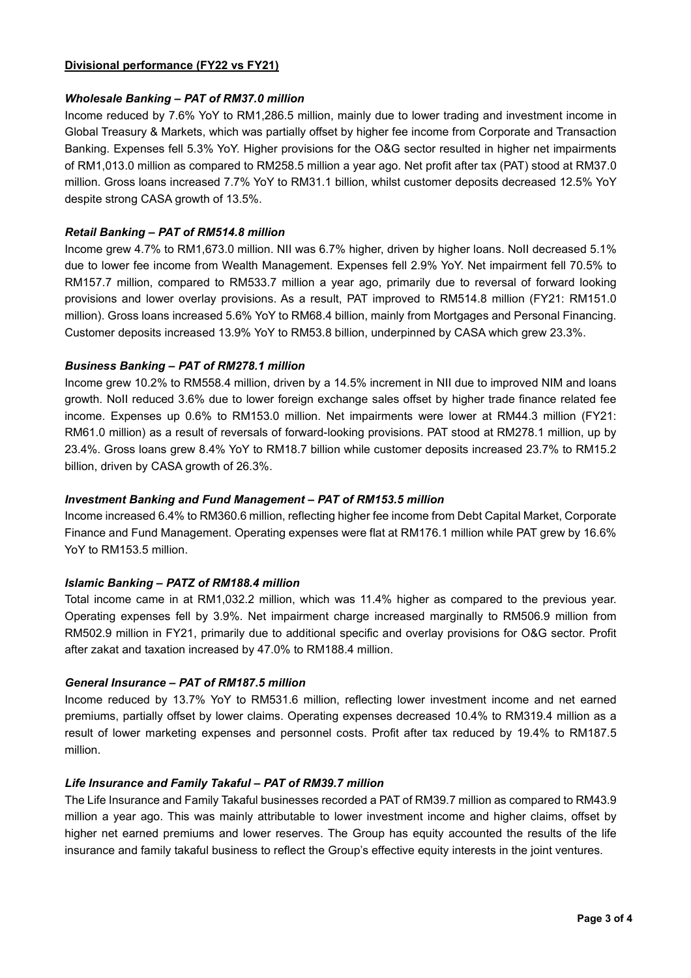### **Divisional performance (FY22 vs FY21)**

### *Wholesale Banking – PAT of RM37.0 million*

Income reduced by 7.6% YoY to RM1,286.5 million, mainly due to lower trading and investment income in Global Treasury & Markets, which was partially offset by higher fee income from Corporate and Transaction Banking. Expenses fell 5.3% YoY. Higher provisions for the O&G sector resulted in higher net impairments of RM1,013.0 million as compared to RM258.5 million a year ago. Net profit after tax (PAT) stood at RM37.0 million. Gross loans increased 7.7% YoY to RM31.1 billion, whilst customer deposits decreased 12.5% YoY despite strong CASA growth of 13.5%.

## *Retail Banking – PAT of RM514.8 million*

Income grew 4.7% to RM1,673.0 million. NII was 6.7% higher, driven by higher loans. NoII decreased 5.1% due to lower fee income from Wealth Management. Expenses fell 2.9% YoY. Net impairment fell 70.5% to RM157.7 million, compared to RM533.7 million a year ago, primarily due to reversal of forward looking provisions and lower overlay provisions. As a result, PAT improved to RM514.8 million (FY21: RM151.0 million). Gross loans increased 5.6% YoY to RM68.4 billion, mainly from Mortgages and Personal Financing. Customer deposits increased 13.9% YoY to RM53.8 billion, underpinned by CASA which grew 23.3%.

## *Business Banking – PAT of RM278.1 million*

Income grew 10.2% to RM558.4 million, driven by a 14.5% increment in NII due to improved NIM and loans growth. NoII reduced 3.6% due to lower foreign exchange sales offset by higher trade finance related fee income. Expenses up 0.6% to RM153.0 million. Net impairments were lower at RM44.3 million (FY21: RM61.0 million) as a result of reversals of forward-looking provisions. PAT stood at RM278.1 million, up by 23.4%. Gross loans grew 8.4% YoY to RM18.7 billion while customer deposits increased 23.7% to RM15.2 billion, driven by CASA growth of 26.3%.

#### *Investment Banking and Fund Management – PAT of RM153.5 million*

Income increased 6.4% to RM360.6 million, reflecting higher fee income from Debt Capital Market, Corporate Finance and Fund Management. Operating expenses were flat at RM176.1 million while PAT grew by 16.6% YoY to RM153.5 million.

#### *Islamic Banking – PATZ of RM188.4 million*

Total income came in at RM1,032.2 million, which was 11.4% higher as compared to the previous year. Operating expenses fell by 3.9%. Net impairment charge increased marginally to RM506.9 million from RM502.9 million in FY21, primarily due to additional specific and overlay provisions for O&G sector. Profit after zakat and taxation increased by 47.0% to RM188.4 million.

#### *General Insurance – PAT of RM187.5 million*

Income reduced by 13.7% YoY to RM531.6 million, reflecting lower investment income and net earned premiums, partially offset by lower claims. Operating expenses decreased 10.4% to RM319.4 million as a result of lower marketing expenses and personnel costs. Profit after tax reduced by 19.4% to RM187.5 million.

#### *Life Insurance and Family Takaful – PAT of RM39.7 million*

The Life Insurance and Family Takaful businesses recorded a PAT of RM39.7 million as compared to RM43.9 million a year ago. This was mainly attributable to lower investment income and higher claims, offset by higher net earned premiums and lower reserves. The Group has equity accounted the results of the life insurance and family takaful business to reflect the Group's effective equity interests in the joint ventures.